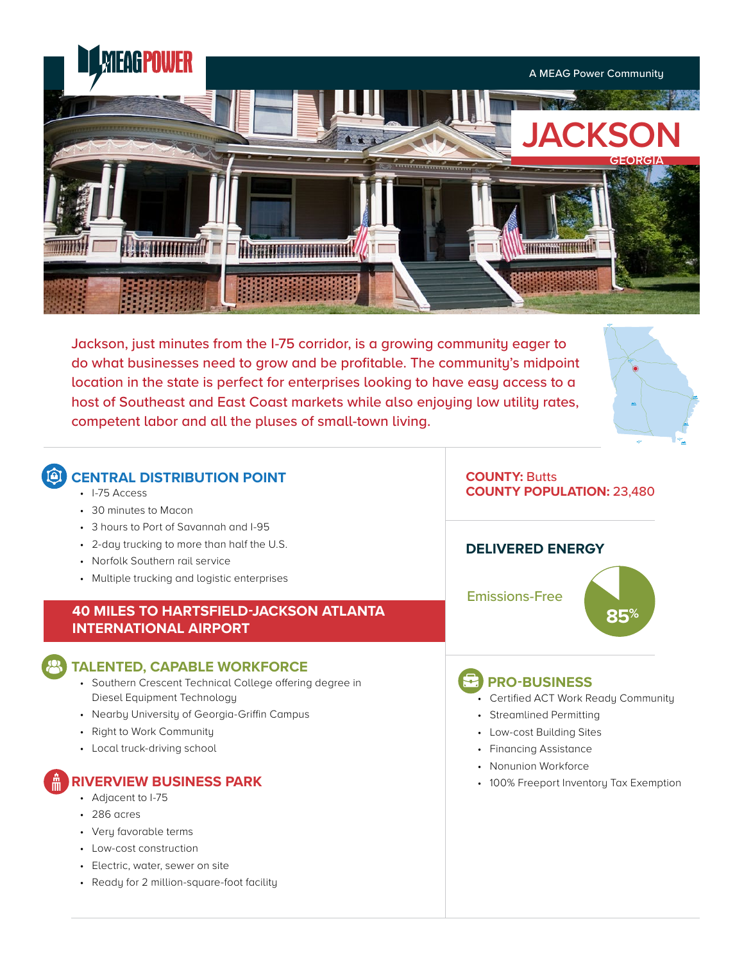

Jackson, just minutes from the I-75 corridor, is a growing community eager to do what businesses need to grow and be profitable. The community's midpoint location in the state is perfect for enterprises looking to have easy access to a host of Southeast and East Coast markets while also enjoying low utility rates, competent labor and all the pluses of small-town living.



# **CENTRAL DISTRIBUTION POINT**

- I-75 Access
- 30 minutes to Macon
- 3 hours to Port of Savannah and I-95
- 2-day trucking to more than half the U.S.
- Norfolk Southern rail service
- Multiple trucking and logistic enterprises

## **40 MILES TO HARTSFIELD-JACKSON ATLANTA 85% INTERNATIONAL AIRPORT**

#### **TALENTED, CAPABLE WORKFORCE**

- Southern Crescent Technical College offering degree in Diesel Equipment Technology
- Nearby University of Georgia-Griffin Campus
- Right to Work Community
- Local truck-driving school

# **RIVERVIEW BUSINESS PARK**

- Adjacent to I-75
- 286 acres
- Very favorable terms
- Low-cost construction
- Electric, water, sewer on site
- Ready for 2 million-square-foot facility

### **COUNTY:** Butts **COUNTY POPULATION:** 23,480

#### **DELIVERED ENERGY**

Emissions-Free



# **PRO-BUSINESS**

- Certified ACT Work Ready Community
- Streamlined Permitting
- Low-cost Building Sites
- Financing Assistance
- Nonunion Workforce
- 100% Freeport Inventory Tax Exemption